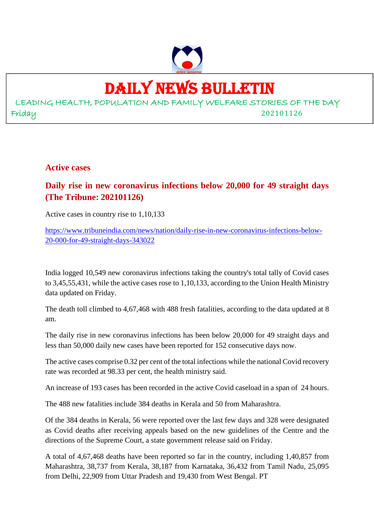

## DAILY NEWS BULLETIN

LEADING HEALTH, POPULATION AND FAMILY WELFARE STORIES OF THE DAY Friday 202101126

**Active cases**

## **Daily rise in new coronavirus infections below 20,000 for 49 straight days (The Tribune: 202101126)**

Active cases in country rise to 1,10,133

https://www.tribuneindia.com/news/nation/daily-rise-in-new-coronavirus-infections-below-20-000-for-49-straight-days-343022

India logged 10,549 new coronavirus infections taking the country's total tally of Covid cases to 3,45,55,431, while the active cases rose to 1,10,133, according to the Union Health Ministry data updated on Friday.

The death toll climbed to 4,67,468 with 488 fresh fatalities, according to the data updated at 8 am.

The daily rise in new coronavirus infections has been below 20,000 for 49 straight days and less than 50,000 daily new cases have been reported for 152 consecutive days now.

The active cases comprise 0.32 per cent of the total infections while the national Covid recovery rate was recorded at 98.33 per cent, the health ministry said.

An increase of 193 cases has been recorded in the active Covid caseload in a span of 24 hours.

The 488 new fatalities include 384 deaths in Kerala and 50 from Maharashtra.

Of the 384 deaths in Kerala, 56 were reported over the last few days and 328 were designated as Covid deaths after receiving appeals based on the new guidelines of the Centre and the directions of the Supreme Court, a state government release said on Friday.

A total of 4,67,468 deaths have been reported so far in the country, including 1,40,857 from Maharashtra, 38,737 from Kerala, 38,187 from Karnataka, 36,432 from Tamil Nadu, 25,095 from Delhi, 22,909 from Uttar Pradesh and 19,430 from West Bengal. PT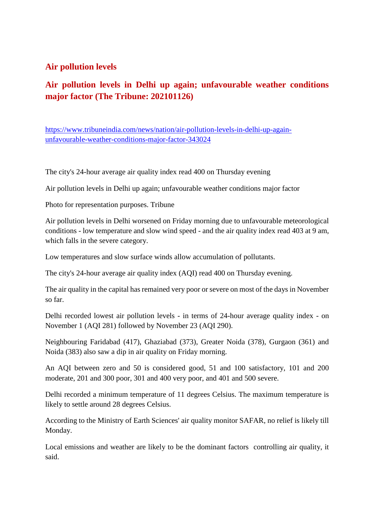#### **Air pollution levels**

## **Air pollution levels in Delhi up again; unfavourable weather conditions major factor (The Tribune: 202101126)**

https://www.tribuneindia.com/news/nation/air-pollution-levels-in-delhi-up-againunfavourable-weather-conditions-major-factor-343024

The city's 24-hour average air quality index read 400 on Thursday evening

Air pollution levels in Delhi up again; unfavourable weather conditions major factor

Photo for representation purposes. Tribune

Air pollution levels in Delhi worsened on Friday morning due to unfavourable meteorological conditions - low temperature and slow wind speed - and the air quality index read 403 at 9 am, which falls in the severe category.

Low temperatures and slow surface winds allow accumulation of pollutants.

The city's 24-hour average air quality index (AQI) read 400 on Thursday evening.

The air quality in the capital has remained very poor or severe on most of the days in November so far.

Delhi recorded lowest air pollution levels - in terms of 24-hour average quality index - on November 1 (AQI 281) followed by November 23 (AQI 290).

Neighbouring Faridabad (417), Ghaziabad (373), Greater Noida (378), Gurgaon (361) and Noida (383) also saw a dip in air quality on Friday morning.

An AQI between zero and 50 is considered good, 51 and 100 satisfactory, 101 and 200 moderate, 201 and 300 poor, 301 and 400 very poor, and 401 and 500 severe.

Delhi recorded a minimum temperature of 11 degrees Celsius. The maximum temperature is likely to settle around 28 degrees Celsius.

According to the Ministry of Earth Sciences' air quality monitor SAFAR, no relief is likely till Monday.

Local emissions and weather are likely to be the dominant factors controlling air quality, it said.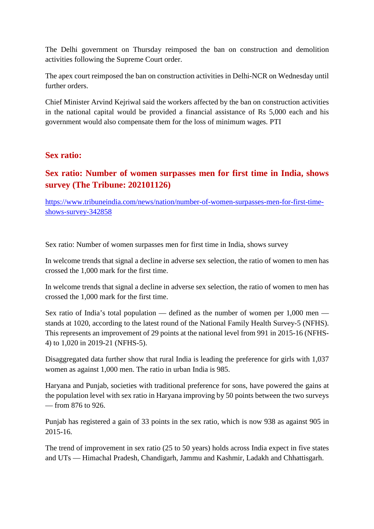The Delhi government on Thursday reimposed the ban on construction and demolition activities following the Supreme Court order.

The apex court reimposed the ban on construction activities in Delhi-NCR on Wednesday until further orders.

Chief Minister Arvind Kejriwal said the workers affected by the ban on construction activities in the national capital would be provided a financial assistance of Rs 5,000 each and his government would also compensate them for the loss of minimum wages. PTI

#### **Sex ratio:**

## **Sex ratio: Number of women surpasses men for first time in India, shows survey (The Tribune: 202101126)**

https://www.tribuneindia.com/news/nation/number-of-women-surpasses-men-for-first-timeshows-survey-342858

Sex ratio: Number of women surpasses men for first time in India, shows survey

In welcome trends that signal a decline in adverse sex selection, the ratio of women to men has crossed the 1,000 mark for the first time.

In welcome trends that signal a decline in adverse sex selection, the ratio of women to men has crossed the 1,000 mark for the first time.

Sex ratio of India's total population — defined as the number of women per 1,000 men stands at 1020, according to the latest round of the National Family Health Survey-5 (NFHS). This represents an improvement of 29 points at the national level from 991 in 2015-16 (NFHS-4) to 1,020 in 2019-21 (NFHS-5).

Disaggregated data further show that rural India is leading the preference for girls with 1,037 women as against 1,000 men. The ratio in urban India is 985.

Haryana and Punjab, societies with traditional preference for sons, have powered the gains at the population level with sex ratio in Haryana improving by 50 points between the two surveys — from 876 to 926.

Punjab has registered a gain of 33 points in the sex ratio, which is now 938 as against 905 in 2015-16.

The trend of improvement in sex ratio (25 to 50 years) holds across India expect in five states and UTs — Himachal Pradesh, Chandigarh, Jammu and Kashmir, Ladakh and Chhattisgarh.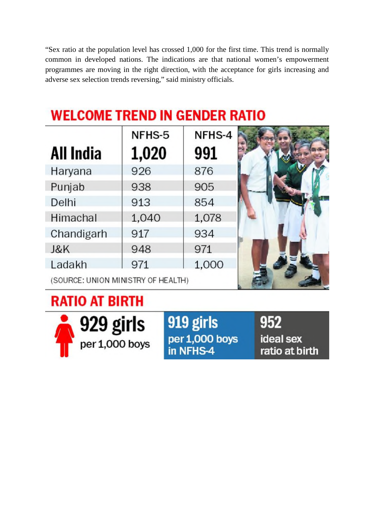"Sex ratio at the population level has crossed 1,000 for the first time. This trend is normally common in developed nations. The indications are that national women's empowerment programmes are moving in the right direction, with the acceptance for girls increasing and adverse sex selection trends reversing," said ministry officials.

## **WELCOME TREND IN GENDER RATIO**

| All India  | NFHS-5<br>1,020 | NFHS-4<br>991 |  |
|------------|-----------------|---------------|--|
| Haryana    | 926             | 876           |  |
| Punjab     | 938             | 905           |  |
| Delhi      | 913             | 854           |  |
| Himachal   | 1,040           | 1,078         |  |
| Chandigarh | 917             | 934           |  |
| J&K        | 948             | 971           |  |
| Ladakh     | 971             | 1,000         |  |
|            |                 |               |  |

(SOURCE: UNION MINISTRY OF HEALTH)

## **RATIO AT BIRTH**



919 girls per 1,000 boys in NFHS-4

952 ideal sex ratio at birth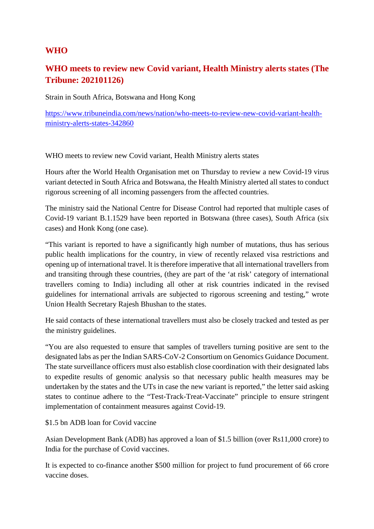#### **WHO**

## **WHO meets to review new Covid variant, Health Ministry alerts states (The Tribune: 202101126)**

Strain in South Africa, Botswana and Hong Kong

https://www.tribuneindia.com/news/nation/who-meets-to-review-new-covid-variant-healthministry-alerts-states-342860

WHO meets to review new Covid variant, Health Ministry alerts states

Hours after the World Health Organisation met on Thursday to review a new Covid-19 virus variant detected in South Africa and Botswana, the Health Ministry alerted all states to conduct rigorous screening of all incoming passengers from the affected countries.

The ministry said the National Centre for Disease Control had reported that multiple cases of Covid-19 variant B.1.1529 have been reported in Botswana (three cases), South Africa (six cases) and Honk Kong (one case).

"This variant is reported to have a significantly high number of mutations, thus has serious public health implications for the country, in view of recently relaxed visa restrictions and opening up of international travel. lt is therefore imperative that all international travellers from and transiting through these countries, (they are part of the 'at risk' category of international travellers coming to India) including all other at risk countries indicated in the revised guidelines for international arrivals are subjected to rigorous screening and testing," wrote Union Health Secretary Rajesh Bhushan to the states.

He said contacts of these international travellers must also be closely tracked and tested as per the ministry guidelines.

"You are also requested to ensure that samples of travellers turning positive are sent to the designated labs as per the Indian SARS-CoV-2 Consortium on Genomics Guidance Document. The state surveillance officers must also establish close coordination with their designated labs to expedite results of genomic analysis so that necessary public health measures may be undertaken by the states and the UTs in case the new variant is reported," the letter said asking states to continue adhere to the "Test-Track-Treat-Vaccinate" principle to ensure stringent implementation of containment measures against Covid-19.

\$1.5 bn ADB loan for Covid vaccine

Asian Development Bank (ADB) has approved a loan of \$1.5 billion (over Rs11,000 crore) to India for the purchase of Covid vaccines.

It is expected to co-finance another \$500 million for project to fund procurement of 66 crore vaccine doses.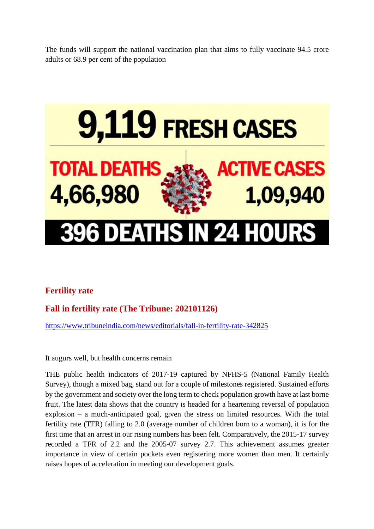The funds will support the national vaccination plan that aims to fully vaccinate 94.5 crore adults or 68.9 per cent of the population



## **Fertility rate**

## **Fall in fertility rate (The Tribune: 202101126)**

https://www.tribuneindia.com/news/editorials/fall-in-fertility-rate-342825

It augurs well, but health concerns remain

THE public health indicators of 2017-19 captured by NFHS-5 (National Family Health Survey), though a mixed bag, stand out for a couple of milestones registered. Sustained efforts by the government and society over the long term to check population growth have at last borne fruit. The latest data shows that the country is headed for a heartening reversal of population explosion – a much-anticipated goal, given the stress on limited resources. With the total fertility rate (TFR) falling to 2.0 (average number of children born to a woman), it is for the first time that an arrest in our rising numbers has been felt. Comparatively, the 2015-17 survey recorded a TFR of 2.2 and the 2005-07 survey 2.7. This achievement assumes greater importance in view of certain pockets even registering more women than men. It certainly raises hopes of acceleration in meeting our development goals.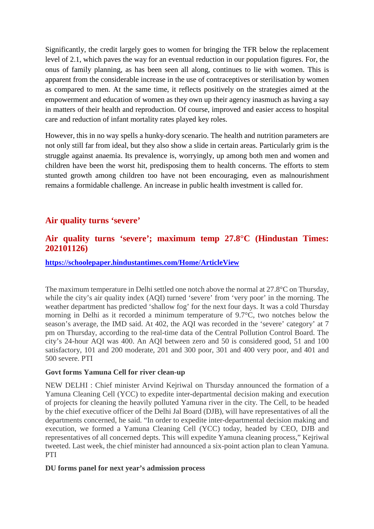Significantly, the credit largely goes to women for bringing the TFR below the replacement level of 2.1, which paves the way for an eventual reduction in our population figures. For, the onus of family planning, as has been seen all along, continues to lie with women. This is apparent from the considerable increase in the use of contraceptives or sterilisation by women as compared to men. At the same time, it reflects positively on the strategies aimed at the empowerment and education of women as they own up their agency inasmuch as having a say in matters of their health and reproduction. Of course, improved and easier access to hospital care and reduction of infant mortality rates played key roles.

However, this in no way spells a hunky-dory scenario. The health and nutrition parameters are not only still far from ideal, but they also show a slide in certain areas. Particularly grim is the struggle against anaemia. Its prevalence is, worryingly, up among both men and women and children have been the worst hit, predisposing them to health concerns. The efforts to stem stunted growth among children too have not been encouraging, even as malnourishment remains a formidable challenge. An increase in public health investment is called for.

#### **Air quality turns 'severe'**

### **Air quality turns 'severe'; maximum temp 27.8°C (Hindustan Times: 202101126)**

#### **https://schoolepaper.hindustantimes.com/Home/ArticleView**

The maximum temperature in Delhi settled one notch above the normal at 27.8°C on Thursday, while the city's air quality index (AQI) turned 'severe' from 'very poor' in the morning. The weather department has predicted 'shallow fog' for the next four days. It was a cold Thursday morning in Delhi as it recorded a minimum temperature of 9.7°C, two notches below the season's average, the IMD said. At 402, the AQI was recorded in the 'severe' category' at 7 pm on Thursday, according to the real-time data of the Central Pollution Control Board. The city's 24-hour AQI was 400. An AQI between zero and 50 is considered good, 51 and 100 satisfactory, 101 and 200 moderate, 201 and 300 poor, 301 and 400 very poor, and 401 and 500 severe. PTI

#### **Govt forms Yamuna Cell for river clean-up**

NEW DELHI : Chief minister Arvind Kejriwal on Thursday announced the formation of a Yamuna Cleaning Cell (YCC) to expedite inter-departmental decision making and execution of projects for cleaning the heavily polluted Yamuna river in the city. The Cell, to be headed by the chief executive officer of the Delhi Jal Board (DJB), will have representatives of all the departments concerned, he said. "In order to expedite inter-departmental decision making and execution, we formed a Yamuna Cleaning Cell (YCC) today, headed by CEO, DJB and representatives of all concerned depts. This will expedite Yamuna cleaning process," Kejriwal tweeted. Last week, the chief minister had announced a six-point action plan to clean Yamuna. PTI

#### **DU forms panel for next year's admission process**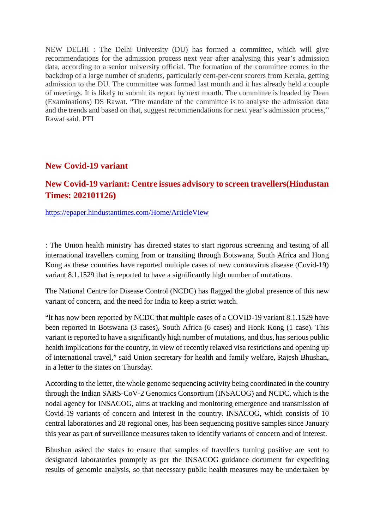NEW DELHI : The Delhi University (DU) has formed a committee, which will give recommendations for the admission process next year after analysing this year's admission data, according to a senior university official. The formation of the committee comes in the backdrop of a large number of students, particularly cent-per-cent scorers from Kerala, getting admission to the DU. The committee was formed last month and it has already held a couple of meetings. It is likely to submit its report by next month. The committee is headed by Dean (Examinations) DS Rawat. "The mandate of the committee is to analyse the admission data and the trends and based on that, suggest recommendations for next year's admission process," Rawat said. PTI

#### **New Covid-19 variant**

### **New Covid-19 variant: Centre issues advisory to screen travellers(Hindustan Times: 202101126)**

https://epaper.hindustantimes.com/Home/ArticleView

: The Union health ministry has directed states to start rigorous screening and testing of all international travellers coming from or transiting through Botswana, South Africa and Hong Kong as these countries have reported multiple cases of new coronavirus disease (Covid-19) variant 8.1.1529 that is reported to have a significantly high number of mutations.

The National Centre for Disease Control (NCDC) has flagged the global presence of this new variant of concern, and the need for India to keep a strict watch.

"lt has now been reported by NCDC that multiple cases of a COVID-19 variant 8.1.1529 have been reported in Botswana (3 cases), South Africa (6 cases) and Honk Kong (1 case). This variant is reported to have a significantly high number of mutations, and thus, has serious public health implications for the country, in view of recently relaxed visa restrictions and opening up of international travel," said Union secretary for health and family welfare, Rajesh Bhushan, in a letter to the states on Thursday.

According to the letter, the whole genome sequencing activity being coordinated in the country through the Indian SARS-CoV-2 Genomics Consortium (INSACOG) and NCDC, which is the nodal agency for INSACOG, aims at tracking and monitoring emergence and transmission of Covid-19 variants of concern and interest in the country. INSACOG, which consists of 10 central laboratories and 28 regional ones, has been sequencing positive samples since January this year as part of surveillance measures taken to identify variants of concern and of interest.

Bhushan asked the states to ensure that samples of travellers turning positive are sent to designated laboratories promptly as per the INSACOG guidance document for expediting results of genomic analysis, so that necessary public health measures may be undertaken by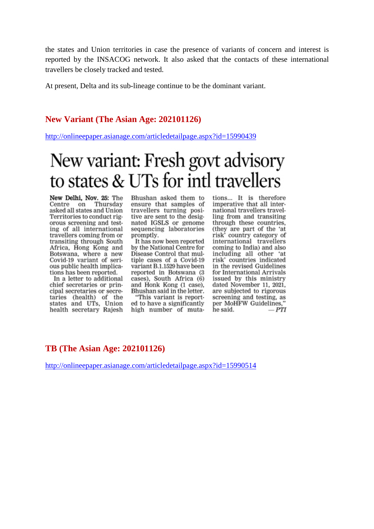the states and Union territories in case the presence of variants of concern and interest is reported by the INSACOG network. It also asked that the contacts of these international travellers be closely tracked and tested.

At present, Delta and its sub-lineage continue to be the dominant variant.

#### **New Variant (The Asian Age: 202101126)**

http://onlineepaper.asianage.com/articledetailpage.aspx?id=15990439

## New variant: Fresh govt advisory to states & UTs for intl travellers

New Delhi, Nov. 25: The<br>Centre on Thursday asked all states and Union Territories to conduct rigorous screening and testing of all international travellers coming from or transiting through South Africa, Hong Kong and Botswana, where a new Covid-19 variant of serious public health implications has been reported.

In a letter to additional chief secretaries or principal secretaries or secretaries (health) of the states and UTs, Union health secretary Rajesh Bhushan asked them to ensure that samples of travellers turning positive are sent to the designated IGSLS or genome sequencing laboratories promptly.

It has now been reported by the National Centre for Disease Control that multiple cases of a Covid-19 variant B.1.1529 have been reported in Botswana (3 cases), South Africa (6) and Honk Kong (1 case), Bhushan said in the letter.

"This variant is reported to have a significantly high number of muta-

tions... It is therefore imperative that all international travellers travelling from and transiting through these countries, (they are part of the 'at<br>risk' country category of international travellers coming to India) and also including all other 'at risk' countries indicated in the revised Guidelines for International Arrivals issued by this ministry dated November 11, 2021, are subjected to rigorous screening and testing, as per MoHFW Guidelines.'  $-PTI$ he said.

#### **TB (The Asian Age: 202101126)**

http://onlineepaper.asianage.com/articledetailpage.aspx?id=15990514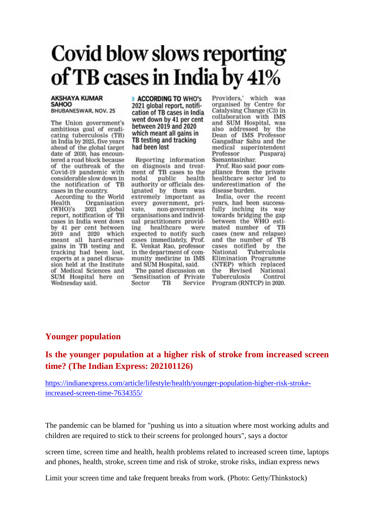# Covid blow slows reporting of TB cases in India by 41%

#### **AKSHAYA KUMAR SAHOO** BHUBANESWAR, NOV. 25

The Union government's ambitious goal of eradicating tuberculosis (TB) in India by 2025, five years ahead of the global target date of 2030, has encountered a road block because of the outbreak of the Covid-19 pandemic with considerable slow down in the notification of TB cases in the country.

According to the World Health Organisation  $(WHO)'s$ 2021 global report, notification of TB cases in India went down by 41 per cent between 2019 and 2020 which meant all hard-earned gains in TB testing and tracking had been lost, experts at a panel discussion held at the Institute of Medical Sciences and SUM Hospital here on Wednesday said.

**ACCORDING TO WHO's** 2021 global report, notification of TB cases in India went down by 41 per cent between 2019 and 2020 which meant all gains in TB testing and tracking had been lost

Reporting information on diagnosis and treatment of TB cases to the public nodal health authority or officials designated by them was extremely important as every government, prinon-government vate. organisations and individual practitioners providhealthcare ing were expected to notify such cases immediately. Prof. E. Venkat Rao, professor in the department of community medicine in IMS and SUM Hospital, said. The panel discussion on

'Sensitisation of Private Sector TR Service Providers,' which was organised by Centre for Catalysing Change (C3) in collaboration with IMS and SUM Hospital, was also addressed by the Dean of IMS Professor Gangadhar Sahu and the medical superintendent Pusparaj Professor Samantasinhar.

Prof. Rao said poor compliance from the private healthcare sector led to underestimation of the disease burden.

India, over the recent years, had been successfully inching its way towards bridging the gap between the WHO estimated number of TB cases (new and relapse) and the number of TB cases notified by the National Tuberculosis Elimination Programme (NTEP) which replaced the Revised National Tuberculosis Control Program (RNTCP) in 2020.

#### **Younger population**

#### **Is the younger population at a higher risk of stroke from increased screen time? (The Indian Express: 202101126)**

https://indianexpress.com/article/lifestyle/health/younger-population-higher-risk-strokeincreased-screen-time-7634355/

The pandemic can be blamed for "pushing us into a situation where most working adults and children are required to stick to their screens for prolonged hours", says a doctor

screen time, screen time and health, health problems related to increased screen time, laptops and phones, health, stroke, screen time and risk of stroke, stroke risks, indian express news

Limit your screen time and take frequent breaks from work. (Photo: Getty/Thinkstock)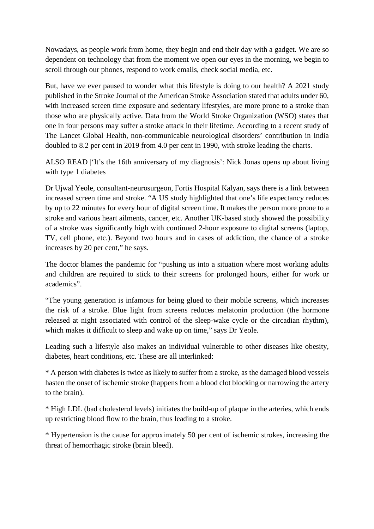Nowadays, as people work from home, they begin and end their day with a gadget. We are so dependent on technology that from the moment we open our eyes in the morning, we begin to scroll through our phones, respond to work emails, check social media, etc.

But, have we ever paused to wonder what this lifestyle is doing to our health? A 2021 study published in the Stroke Journal of the American Stroke Association stated that adults under 60, with increased screen time exposure and sedentary lifestyles, are more prone to a stroke than those who are physically active. Data from the World Stroke Organization (WSO) states that one in four persons may suffer a stroke attack in their lifetime. According to a recent study of The Lancet Global Health, non-communicable neurological disorders' contribution in India doubled to 8.2 per cent in 2019 from 4.0 per cent in 1990, with stroke leading the charts.

ALSO READ |'It's the 16th anniversary of my diagnosis': Nick Jonas opens up about living with type 1 diabetes

Dr Ujwal Yeole, consultant-neurosurgeon, Fortis Hospital Kalyan, says there is a link between increased screen time and stroke. "A US study highlighted that one's life expectancy reduces by up to 22 minutes for every hour of digital screen time. It makes the person more prone to a stroke and various heart ailments, cancer, etc. Another UK-based study showed the possibility of a stroke was significantly high with continued 2-hour exposure to digital screens (laptop, TV, cell phone, etc.). Beyond two hours and in cases of addiction, the chance of a stroke increases by 20 per cent," he says.

The doctor blames the pandemic for "pushing us into a situation where most working adults and children are required to stick to their screens for prolonged hours, either for work or academics".

"The young generation is infamous for being glued to their mobile screens, which increases the risk of a stroke. Blue light from screens reduces melatonin production (the hormone released at night associated with control of the sleep-wake cycle or the circadian rhythm), which makes it difficult to sleep and wake up on time," says Dr Yeole.

Leading such a lifestyle also makes an individual vulnerable to other diseases like obesity, diabetes, heart conditions, etc. These are all interlinked:

\* A person with diabetes is twice as likely to suffer from a stroke, as the damaged blood vessels hasten the onset of ischemic stroke (happens from a blood clot blocking or narrowing the artery to the brain).

\* High LDL (bad cholesterol levels) initiates the build-up of plaque in the arteries, which ends up restricting blood flow to the brain, thus leading to a stroke.

\* Hypertension is the cause for approximately 50 per cent of ischemic strokes, increasing the threat of hemorrhagic stroke (brain bleed).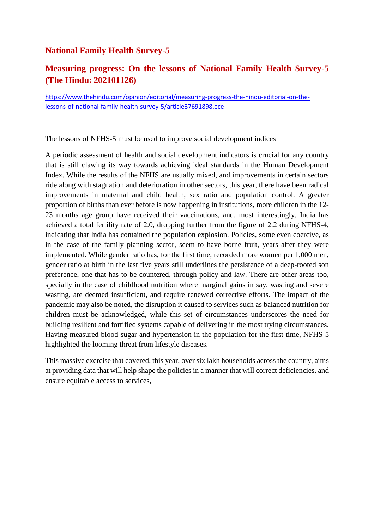#### **National Family Health Survey-5**

## **Measuring progress: On the lessons of National Family Health Survey-5 (The Hindu: 202101126)**

https://www.thehindu.com/opinion/editorial/measuring-progress-the-hindu-editorial-on-thelessons-of-national-family-health-survey-5/article37691898.ece

The lessons of NFHS-5 must be used to improve social development indices

A periodic assessment of health and social development indicators is crucial for any country that is still clawing its way towards achieving ideal standards in the Human Development Index. While the results of the NFHS are usually mixed, and improvements in certain sectors ride along with stagnation and deterioration in other sectors, this year, there have been radical improvements in maternal and child health, sex ratio and population control. A greater proportion of births than ever before is now happening in institutions, more children in the 12- 23 months age group have received their vaccinations, and, most interestingly, India has achieved a total fertility rate of 2.0, dropping further from the figure of 2.2 during NFHS-4, indicating that India has contained the population explosion. Policies, some even coercive, as in the case of the family planning sector, seem to have borne fruit, years after they were implemented. While gender ratio has, for the first time, recorded more women per 1,000 men, gender ratio at birth in the last five years still underlines the persistence of a deep-rooted son preference, one that has to be countered, through policy and law. There are other areas too, specially in the case of childhood nutrition where marginal gains in say, wasting and severe wasting, are deemed insufficient, and require renewed corrective efforts. The impact of the pandemic may also be noted, the disruption it caused to services such as balanced nutrition for children must be acknowledged, while this set of circumstances underscores the need for building resilient and fortified systems capable of delivering in the most trying circumstances. Having measured blood sugar and hypertension in the population for the first time, NFHS-5 highlighted the looming threat from lifestyle diseases.

This massive exercise that covered, this year, over six lakh households across the country, aims at providing data that will help shape the policies in a manner that will correct deficiencies, and ensure equitable access to services,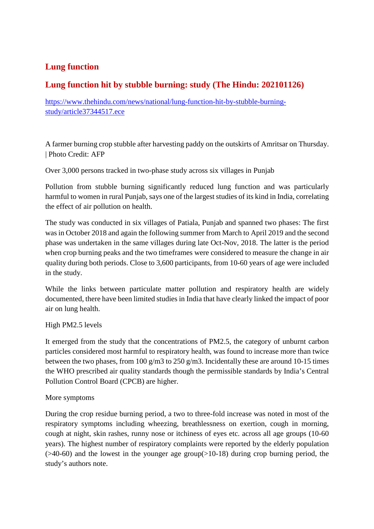## **Lung function**

## **Lung function hit by stubble burning: study (The Hindu: 202101126)**

https://www.thehindu.com/news/national/lung-function-hit-by-stubble-burningstudy/article37344517.ece

A farmer burning crop stubble after harvesting paddy on the outskirts of Amritsar on Thursday. | Photo Credit: AFP

Over 3,000 persons tracked in two-phase study across six villages in Punjab

Pollution from stubble burning significantly reduced lung function and was particularly harmful to women in rural Punjab, says one of the largest studies of its kind in India, correlating the effect of air pollution on health.

The study was conducted in six villages of Patiala, Punjab and spanned two phases: The first was in October 2018 and again the following summer from March to April 2019 and the second phase was undertaken in the same villages during late Oct-Nov, 2018. The latter is the period when crop burning peaks and the two timeframes were considered to measure the change in air quality during both periods. Close to 3,600 participants, from 10-60 years of age were included in the study.

While the links between particulate matter pollution and respiratory health are widely documented, there have been limited studies in India that have clearly linked the impact of poor air on lung health.

#### High PM2.5 levels

It emerged from the study that the concentrations of PM2.5, the category of unburnt carbon particles considered most harmful to respiratory health, was found to increase more than twice between the two phases, from 100 g/m3 to 250 g/m3. Incidentally these are around 10-15 times the WHO prescribed air quality standards though the permissible standards by India's Central Pollution Control Board (CPCB) are higher.

#### More symptoms

During the crop residue burning period, a two to three-fold increase was noted in most of the respiratory symptoms including wheezing, breathlessness on exertion, cough in morning, cough at night, skin rashes, runny nose or itchiness of eyes etc. across all age groups (10-60 years). The highest number of respiratory complaints were reported by the elderly population  $($ >40-60) and the lowest in the younger age group(>10-18) during crop burning period, the study's authors note.